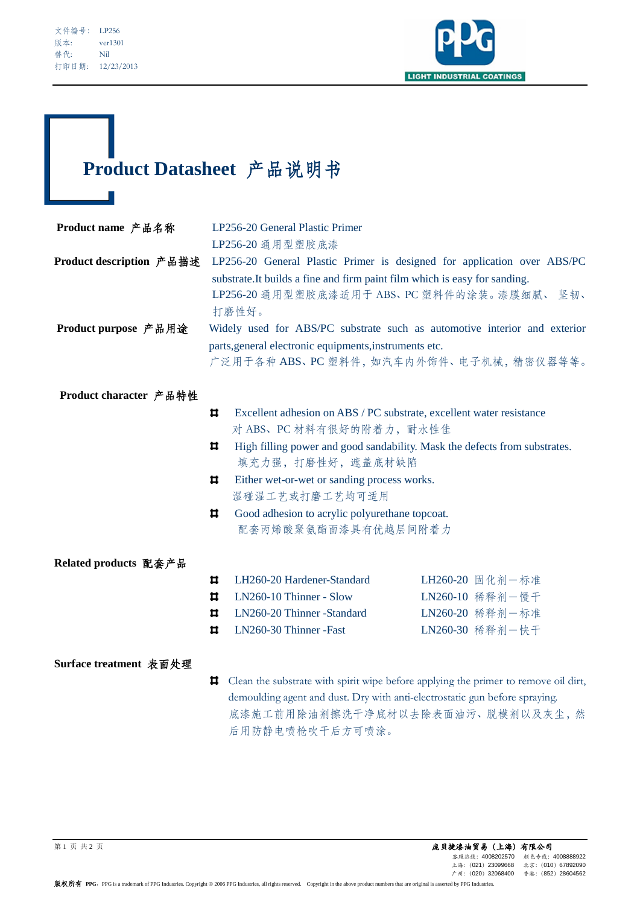l



# **Product Datasheet** 产品说明书

| Product name 产品名称        | LP256-20 General Plastic Primer                                                                    |                                                                            |                                                                            |  |
|--------------------------|----------------------------------------------------------------------------------------------------|----------------------------------------------------------------------------|----------------------------------------------------------------------------|--|
|                          |                                                                                                    | LP256-20 通用型塑胶底漆                                                           |                                                                            |  |
| Product description 产品描述 |                                                                                                    |                                                                            | LP256-20 General Plastic Primer is designed for application over ABS/PC    |  |
|                          |                                                                                                    | substrate. It builds a fine and firm paint film which is easy for sanding. |                                                                            |  |
|                          |                                                                                                    |                                                                            | LP256-20 通用型塑胶底漆适用于 ABS、PC 塑料件的涂装。漆膜细腻、 坚韧、                                |  |
|                          | 打磨性好。                                                                                              |                                                                            |                                                                            |  |
| Product purpose 产品用途     | Widely used for ABS/PC substrate such as automotive interior and exterior                          |                                                                            |                                                                            |  |
|                          | parts, general electronic equipments, instruments etc.<br>广泛用于各种 ABS、PC 塑料件, 如汽车内外饰件、电子机械, 精密仪器等等。 |                                                                            |                                                                            |  |
|                          |                                                                                                    |                                                                            |                                                                            |  |
| Product character 产品特性   |                                                                                                    |                                                                            |                                                                            |  |
|                          | ᄇ                                                                                                  |                                                                            | Excellent adhesion on ABS / PC substrate, excellent water resistance       |  |
|                          |                                                                                                    | 对 ABS、PC 材料有很好的附着力, 耐水性佳                                                   |                                                                            |  |
|                          | ᄇ                                                                                                  |                                                                            | High filling power and good sandability. Mask the defects from substrates. |  |
|                          |                                                                                                    | 填充力强, 打磨性好, 遮盖底材缺陷                                                         |                                                                            |  |
|                          | ᄇ                                                                                                  | Either wet-or-wet or sanding process works.                                |                                                                            |  |
|                          |                                                                                                    | 湿碰湿工艺或打磨工艺均可适用                                                             |                                                                            |  |
|                          | ᄇ                                                                                                  | Good adhesion to acrylic polyurethane topcoat.                             |                                                                            |  |
|                          | 配套丙烯酸聚氨酯面漆具有优越层间附着力                                                                                |                                                                            |                                                                            |  |
| Related products 配套产品    |                                                                                                    |                                                                            |                                                                            |  |
|                          | ᄇ                                                                                                  | LH260-20 Hardener-Standard                                                 | LH260-20 固化剂一标准                                                            |  |
|                          |                                                                                                    |                                                                            |                                                                            |  |

| o.             | LN260-10 Thinner - Slow           | LN260-10 稀释剂一慢干 |
|----------------|-----------------------------------|-----------------|
|                | $\Box$ LN260-20 Thinner -Standard | LN260-20 稀释剂一标准 |
| $\blacksquare$ | LN260-30 Thinner - Fast           | LN260-30 稀释剂-快干 |

## **Surface treatment** 表面处理

Clean the substrate with spirit wipe before applying the primer to remove oil dirt, demoulding agent and dust. Dry with anti-electrostatic gun before spraying. 底漆施工前用除油剂擦洗干净底材以去除表面油污、脱模剂以及灰尘,然 后用防静电喷枪吹干后方可喷涂。